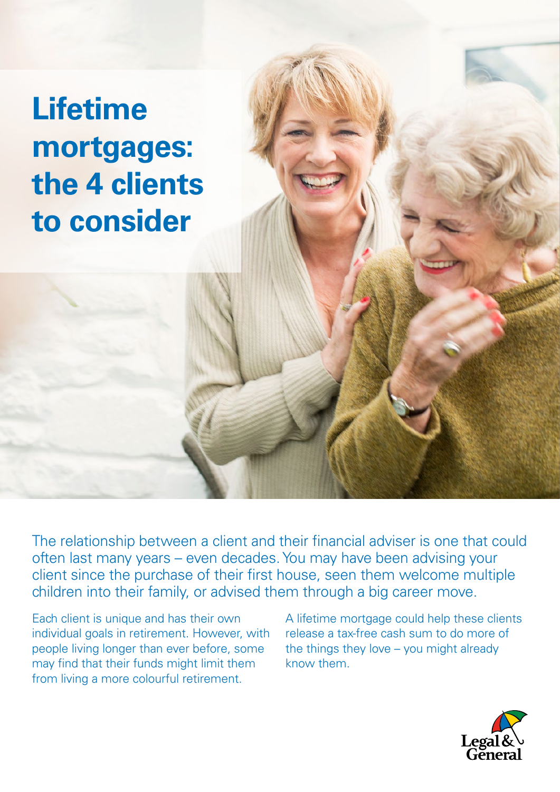**Lifetime mortgages: the 4 clients to consider**

The relationship between a client and their financial adviser is one that could often last many years – even decades. You may have been advising your client since the purchase of their first house, seen them welcome multiple children into their family, or advised them through a big career move.

Each client is unique and has their own individual goals in retirement. However, with people living longer than ever before, some may find that their funds might limit them from living a more colourful retirement.

A lifetime mortgage could help these clients release a tax-free cash sum to do more of the things they love – you might already know them.